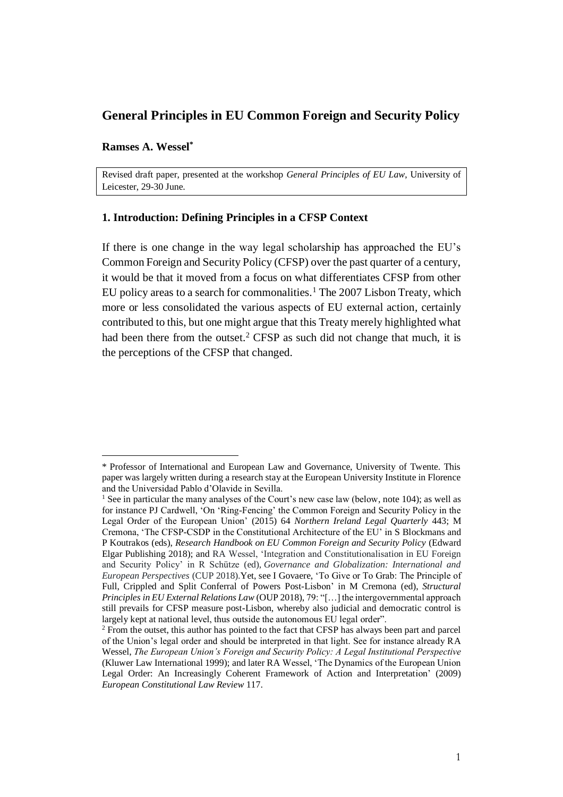# **General Principles in EU Common Foreign and Security Policy**

# **Ramses A. Wessel\***

Revised draft paper, presented at the workshop *General Principles of EU Law*, University of Leicester, 29-30 June.

## **1. Introduction: Defining Principles in a CFSP Context**

If there is one change in the way legal scholarship has approached the EU's Common Foreign and Security Policy (CFSP) over the past quarter of a century, it would be that it moved from a focus on what differentiates CFSP from other EU policy areas to a search for commonalities.<sup>1</sup> The 2007 Lisbon Treaty, which more or less consolidated the various aspects of EU external action, certainly contributed to this, but one might argue that this Treaty merely highlighted what had been there from the outset.<sup>2</sup> CFSP as such did not change that much, it is the perceptions of the CFSP that changed.

<sup>\*</sup> Professor of International and European Law and Governance, University of Twente. This paper was largely written during a research stay at the European University Institute in Florence and the Universidad Pablo d'Olavide in Sevilla.

<sup>&</sup>lt;sup>1</sup> See in particular the many analyses of the Court's new case law (below, note 104); as well as for instance PJ Cardwell, 'On 'Ring-Fencing' the Common Foreign and Security Policy in the Legal Order of the European Union' (2015) 64 *Northern Ireland Legal Quarterly* 443; M Cremona, 'The CFSP-CSDP in the Constitutional Architecture of the EU' in S Blockmans and P Koutrakos (eds), *Research Handbook on EU Common Foreign and Security Policy* (Edward Elgar Publishing 2018); and RA Wessel, 'Integration and Constitutionalisation in EU Foreign and Security Policy' in R Schütze (ed), *Governance and Globalization: International and European Perspectives* (CUP 2018).Yet, see I Govaere, 'To Give or To Grab: The Principle of Full, Crippled and Split Conferral of Powers Post-Lisbon' in M Cremona (ed), *Structural Principles in EU External Relations Law* (OUP 2018), 79: "[...] the intergovernmental approach still prevails for CFSP measure post-Lisbon, whereby also judicial and democratic control is largely kept at national level, thus outside the autonomous EU legal order".

<sup>2</sup> From the outset, this author has pointed to the fact that CFSP has always been part and parcel of the Union's legal order and should be interpreted in that light. See for instance already RA Wessel, *The European Union's Foreign and Security Policy: A Legal Institutional Perspective* (Kluwer Law International 1999); and later RA Wessel, 'The Dynamics of the European Union Legal Order: An Increasingly Coherent Framework of Action and Interpretation' (2009) *European Constitutional Law Review* 117.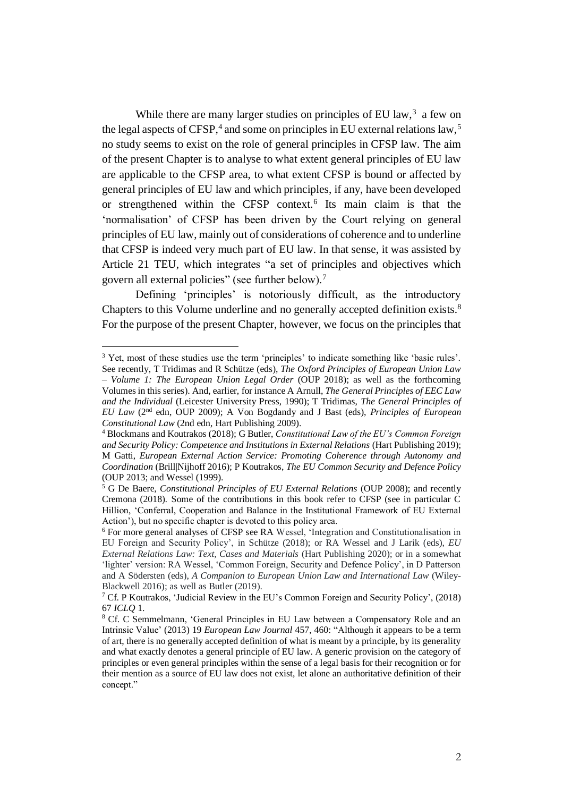While there are many larger studies on principles of EU law, $3$  a few on the legal aspects of CFSP,<sup>4</sup> and some on principles in EU external relations law,<sup>5</sup> no study seems to exist on the role of general principles in CFSP law. The aim of the present Chapter is to analyse to what extent general principles of EU law are applicable to the CFSP area, to what extent CFSP is bound or affected by general principles of EU law and which principles, if any, have been developed or strengthened within the CFSP context.<sup>6</sup> Its main claim is that the 'normalisation' of CFSP has been driven by the Court relying on general principles of EU law, mainly out of considerations of coherence and to underline that CFSP is indeed very much part of EU law. In that sense, it was assisted by Article 21 TEU, which integrates "a set of principles and objectives which govern all external policies" (see further below).<sup>7</sup>

Defining 'principles' is notoriously difficult, as the introductory Chapters to this Volume underline and no generally accepted definition exists.<sup>8</sup> For the purpose of the present Chapter, however, we focus on the principles that

<sup>&</sup>lt;sup>3</sup> Yet, most of these studies use the term 'principles' to indicate something like 'basic rules'. See recently, T Tridimas and R Schütze (eds), *The Oxford Principles of European Union Law – Volume 1: The European Union Legal Order* (OUP 2018); as well as the forthcoming Volumes in this series). And, earlier, for instance A Arnull, *The General Principles of EEC Law and the Individual* (Leicester University Press, 1990); T Tridimas, *The General Principles of EU Law* (2nd edn, OUP 2009); A Von Bogdandy and J Bast (eds), *Principles of European* 

*Constitutional Law* (2nd edn, Hart Publishing 2009).

<sup>4</sup> Blockmans and Koutrakos (2018); G Butler, *Constitutional Law of the EU's Common Foreign and Security Policy: Competence and Institutions in External Relations* (Hart Publishing 2019); M Gatti, *European External Action Service: Promoting Coherence through Autonomy and Coordination* (Brill|Nijhoff 2016); P Koutrakos, *The EU Common Security and Defence Policy* (OUP 2013; and Wessel (1999).

<sup>5</sup> G De Baere, *Constitutional Principles of EU External Relations* (OUP 2008); and recently Cremona (2018)*.* Some of the contributions in this book refer to CFSP (see in particular C Hillion, 'Conferral, Cooperation and Balance in the Institutional Framework of EU External Action'), but no specific chapter is devoted to this policy area.

<sup>6</sup> For more general analyses of CFSP see RA Wessel, 'Integration and Constitutionalisation in EU Foreign and Security Policy', in Schütze (2018); or RA Wessel and J Larik (eds), *EU External Relations Law: Text, Cases and Materials* (Hart Publishing 2020); or in a somewhat 'lighter' version: RA Wessel, 'Common Foreign, Security and Defence Policy', in D Patterson and A Södersten (eds), *A Companion to European Union Law and International Law* (Wiley-Blackwell 2016); as well as Butler (2019).

<sup>7</sup> Cf. P Koutrakos, 'Judicial Review in the EU's Common Foreign and Security Policy', (2018) 67 *ICLQ* 1.

<sup>8</sup> Cf. C Semmelmann, 'General Principles in EU Law between a Compensatory Role and an Intrinsic Value' (2013) 19 *European Law Journal* 457, 460: "Although it appears to be a term of art, there is no generally accepted definition of what is meant by a principle, by its generality and what exactly denotes a general principle of EU law. A generic provision on the category of principles or even general principles within the sense of a legal basis for their recognition or for their mention as a source of EU law does not exist, let alone an authoritative definition of their concept."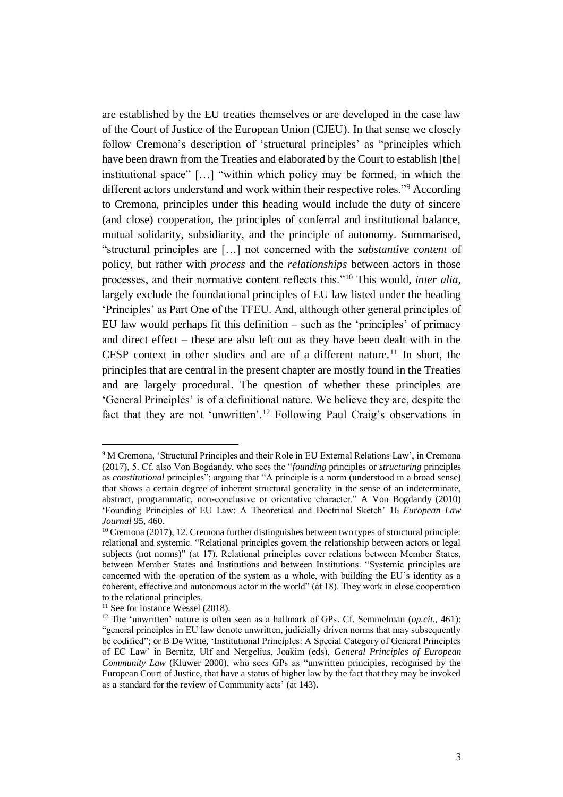are established by the EU treaties themselves or are developed in the case law of the Court of Justice of the European Union (CJEU). In that sense we closely follow Cremona's description of 'structural principles' as "principles which have been drawn from the Treaties and elaborated by the Court to establish [the] institutional space" […] "within which policy may be formed, in which the different actors understand and work within their respective roles."<sup>9</sup> According to Cremona, principles under this heading would include the duty of sincere (and close) cooperation, the principles of conferral and institutional balance, mutual solidarity, subsidiarity, and the principle of autonomy. Summarised, "structural principles are […] not concerned with the *substantive content* of policy, but rather with *process* and the *relationships* between actors in those processes, and their normative content reflects this."<sup>10</sup> This would, *inter alia*, largely exclude the foundational principles of EU law listed under the heading 'Principles' as Part One of the TFEU. And, although other general principles of EU law would perhaps fit this definition – such as the 'principles' of primacy and direct effect – these are also left out as they have been dealt with in the CFSP context in other studies and are of a different nature.<sup>11</sup> In short, the principles that are central in the present chapter are mostly found in the Treaties and are largely procedural. The question of whether these principles are 'General Principles' is of a definitional nature. We believe they are, despite the fact that they are not 'unwritten'.<sup>12</sup> Following Paul Craig's observations in

<sup>9</sup> M Cremona, 'Structural Principles and their Role in EU External Relations Law', in Cremona (2017), 5. Cf. also Von Bogdandy, who sees the "*founding* principles or *structuring* principles as *constitutional* principles"; arguing that "A principle is a norm (understood in a broad sense) that shows a certain degree of inherent structural generality in the sense of an indeterminate, abstract, programmatic, non-conclusive or orientative character." A Von Bogdandy (2010) 'Founding Principles of EU Law: A Theoretical and Doctrinal Sketch' 16 *European Law Journal* 95, 460.

<sup>&</sup>lt;sup>10</sup> Cremona (2017), 12. Cremona further distinguishes between two types of structural principle: relational and systemic. "Relational principles govern the relationship between actors or legal subjects (not norms)" (at 17). Relational principles cover relations between Member States, between Member States and Institutions and between Institutions. "Systemic principles are concerned with the operation of the system as a whole, with building the EU's identity as a coherent, effective and autonomous actor in the world" (at 18). They work in close cooperation to the relational principles.

 $11$  See for instance Wessel (2018).

<sup>12</sup> The 'unwritten' nature is often seen as a hallmark of GPs. Cf. Semmelman (*op.cit.*, 461): "general principles in EU law denote unwritten, judicially driven norms that may subsequently be codified"; or B De Witte, 'Institutional Principles: A Special Category of General Principles of EC Law' in Bernitz, Ulf and Nergelius, Joakim (eds), *General Principles of European Community Law* (Kluwer 2000), who sees GPs as "unwritten principles, recognised by the European Court of Justice, that have a status of higher law by the fact that they may be invoked as a standard for the review of Community acts' (at 143).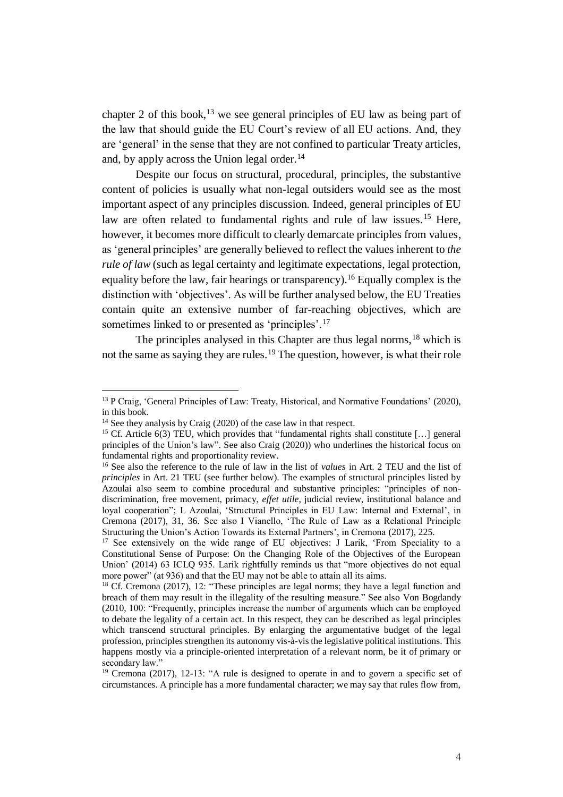chapter 2 of this book,  $^{13}$  we see general principles of EU law as being part of the law that should guide the EU Court's review of all EU actions. And, they are 'general' in the sense that they are not confined to particular Treaty articles, and, by apply across the Union legal order.<sup>14</sup>

Despite our focus on structural, procedural, principles, the substantive content of policies is usually what non-legal outsiders would see as the most important aspect of any principles discussion. Indeed, general principles of EU law are often related to fundamental rights and rule of law issues.<sup>15</sup> Here, however, it becomes more difficult to clearly demarcate principles from values, as 'general principles' are generally believed to reflect the values inherent to *the rule of law* (such as legal certainty and legitimate expectations, legal protection, equality before the law, fair hearings or transparency).<sup>16</sup> Equally complex is the distinction with 'objectives'. As will be further analysed below, the EU Treaties contain quite an extensive number of far-reaching objectives, which are sometimes linked to or presented as 'principles'.<sup>17</sup>

The principles analysed in this Chapter are thus legal norms,<sup>18</sup> which is not the same as saying they are rules.<sup>19</sup> The question, however, is what their role

<sup>&</sup>lt;sup>13</sup> P Craig, 'General Principles of Law: Treaty, Historical, and Normative Foundations' (2020), in this book.

<sup>&</sup>lt;sup>14</sup> See they analysis by Craig (2020) of the case law in that respect.

<sup>&</sup>lt;sup>15</sup> Cf. Article 6(3) TEU, which provides that "fundamental rights shall constitute [...] general principles of the Union's law". See also Craig (2020)) who underlines the historical focus on fundamental rights and proportionality review.

<sup>&</sup>lt;sup>16</sup> See also the reference to the rule of law in the list of *values* in Art. 2 TEU and the list of *principles* in Art. 21 TEU (see further below). The examples of structural principles listed by Azoulai also seem to combine procedural and substantive principles: "principles of nondiscrimination, free movement, primacy, *effet utile*, judicial review, institutional balance and loyal cooperation"; L Azoulai, 'Structural Principles in EU Law: Internal and External', in Cremona (2017), 31, 36. See also I Vianello, 'The Rule of Law as a Relational Principle Structuring the Union's Action Towards its External Partners', in Cremona (2017), 225.

<sup>&</sup>lt;sup>17</sup> See extensively on the wide range of EU objectives: J Larik, 'From Speciality to a Constitutional Sense of Purpose: On the Changing Role of the Objectives of the European Union' (2014) 63 ICLQ 935. Larik rightfully reminds us that "more objectives do not equal more power" (at 936) and that the EU may not be able to attain all its aims.

 $18$  Cf. Cremona (2017), 12: "These principles are legal norms; they have a legal function and breach of them may result in the illegality of the resulting measure." See also Von Bogdandy (2010, 100: "Frequently, principles increase the number of arguments which can be employed to debate the legality of a certain act. In this respect, they can be described as legal principles which transcend structural principles. By enlarging the argumentative budget of the legal profession, principles strengthen its autonomy vis-à-vis the legislative political institutions. This happens mostly via a principle-oriented interpretation of a relevant norm, be it of primary or secondary law."

<sup>&</sup>lt;sup>19</sup> Cremona (2017), 12-13: "A rule is designed to operate in and to govern a specific set of circumstances. A principle has a more fundamental character; we may say that rules flow from,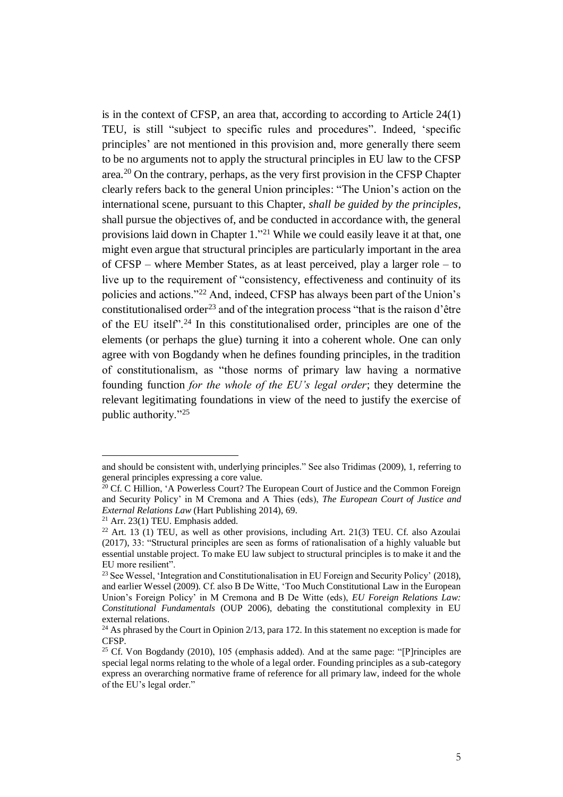is in the context of CFSP, an area that, according to according to Article 24(1) TEU, is still "subject to specific rules and procedures". Indeed, 'specific principles' are not mentioned in this provision and, more generally there seem to be no arguments not to apply the structural principles in EU law to the CFSP area.<sup>20</sup> On the contrary, perhaps, as the very first provision in the CFSP Chapter clearly refers back to the general Union principles: "The Union's action on the international scene, pursuant to this Chapter, *shall be guided by the principles*, shall pursue the objectives of, and be conducted in accordance with, the general provisions laid down in Chapter 1."<sup>21</sup> While we could easily leave it at that, one might even argue that structural principles are particularly important in the area of CFSP – where Member States, as at least perceived, play a larger role – to live up to the requirement of "consistency, effectiveness and continuity of its policies and actions."<sup>22</sup> And, indeed, CFSP has always been part of the Union's constitutionalised order<sup>23</sup> and of the integration process "that is the raison d'être of the EU itself".<sup>24</sup> In this constitutionalised order, principles are one of the elements (or perhaps the glue) turning it into a coherent whole. One can only agree with von Bogdandy when he defines founding principles, in the tradition of constitutionalism, as "those norms of primary law having a normative founding function *for the whole of the EU's legal order*; they determine the relevant legitimating foundations in view of the need to justify the exercise of public authority."<sup>25</sup>

and should be consistent with, underlying principles." See also Tridimas (2009), 1, referring to general principles expressing a core value.

<sup>&</sup>lt;sup>20</sup> Cf. C Hillion, 'A Powerless Court? The European Court of Justice and the Common Foreign and Security Policy' in M Cremona and A Thies (eds), *The European Court of Justice and External Relations Law* (Hart Publishing 2014), 69.

 $21$  Arr. 23(1) TEU. Emphasis added.

<sup>&</sup>lt;sup>22</sup> Art. 13 (1) TEU, as well as other provisions, including Art. 21(3) TEU. Cf. also Azoulai (2017), 33: "Structural principles are seen as forms of rationalisation of a highly valuable but essential unstable project. To make EU law subject to structural principles is to make it and the EU more resilient".

<sup>&</sup>lt;sup>23</sup> See Wessel, 'Integration and Constitutionalisation in EU Foreign and Security Policy' (2018), and earlier Wessel (2009)*.* Cf. also B De Witte, 'Too Much Constitutional Law in the European Union's Foreign Policy' in M Cremona and B De Witte (eds), *EU Foreign Relations Law: Constitutional Fundamentals* (OUP 2006), debating the constitutional complexity in EU external relations.

<sup>&</sup>lt;sup>24</sup> As phrased by the Court in Opinion  $2/13$ , para 172. In this statement no exception is made for CFSP.

<sup>&</sup>lt;sup>25</sup> Cf. Von Bogdandy (2010), 105 (emphasis added). And at the same page: "[P]rinciples are special legal norms relating to the whole of a legal order. Founding principles as a sub-category express an overarching normative frame of reference for all primary law, indeed for the whole of the EU's legal order."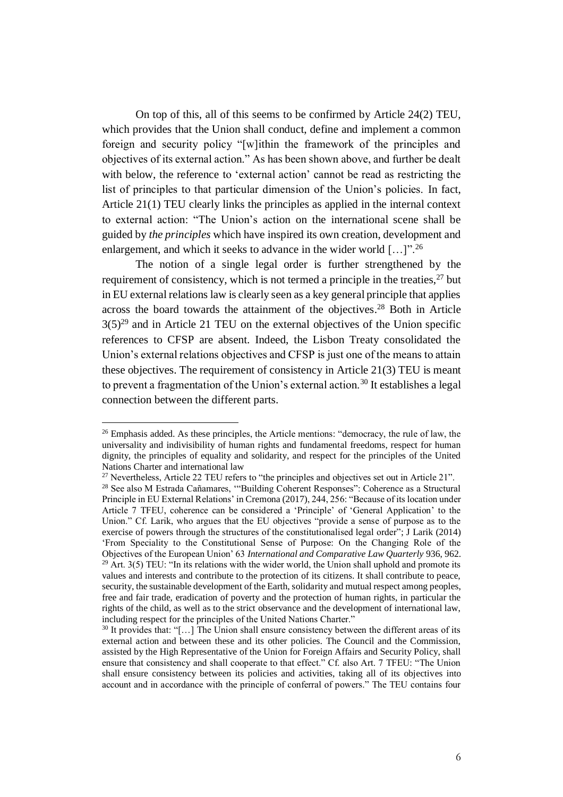On top of this, all of this seems to be confirmed by Article 24(2) TEU, which provides that the Union shall conduct, define and implement a common foreign and security policy "[w]ithin the framework of the principles and objectives of its external action." As has been shown above, and further be dealt with below, the reference to 'external action' cannot be read as restricting the list of principles to that particular dimension of the Union's policies. In fact, Article 21(1) TEU clearly links the principles as applied in the internal context to external action: "The Union's action on the international scene shall be guided by *the principles* which have inspired its own creation, development and enlargement, and which it seeks to advance in the wider world [...]".<sup>26</sup>

The notion of a single legal order is further strengthened by the requirement of consistency, which is not termed a principle in the treaties,  $27$  but in EU external relations law is clearly seen as a key general principle that applies across the board towards the attainment of the objectives. <sup>28</sup> Both in Article  $3(5)^{29}$  and in Article 21 TEU on the external objectives of the Union specific references to CFSP are absent. Indeed, the Lisbon Treaty consolidated the Union's external relations objectives and CFSP is just one of the means to attain these objectives. The requirement of consistency in Article 21(3) TEU is meant to prevent a fragmentation of the Union's external action.<sup>30</sup> It establishes a legal connection between the different parts.

 $26$  Emphasis added. As these principles, the Article mentions: "democracy, the rule of law, the universality and indivisibility of human rights and fundamental freedoms, respect for human dignity, the principles of equality and solidarity, and respect for the principles of the United Nations Charter and international law

<sup>&</sup>lt;sup>27</sup> Nevertheless, Article 22 TEU refers to "the principles and objectives set out in Article 21".

<sup>28</sup> See also M Estrada Cañamares, '"Building Coherent Responses": Coherence as a Structural Principle in EU External Relations' in Cremona (2017), 244, 256: "Because of its location under Article 7 TFEU, coherence can be considered a 'Principle' of 'General Application' to the Union." Cf. Larik, who argues that the EU objectives "provide a sense of purpose as to the exercise of powers through the structures of the constitutionalised legal order"; J Larik (2014) 'From Speciality to the Constitutional Sense of Purpose: On the Changing Role of the Objectives of the European Union' 63 *International and Comparative Law Quarterly* 936, 962.

 $^{29}$  Art. 3(5) TEU: "In its relations with the wider world, the Union shall uphold and promote its values and interests and contribute to the protection of its citizens. It shall contribute to peace, security, the sustainable development of the Earth, solidarity and mutual respect among peoples, free and fair trade, eradication of poverty and the protection of human rights, in particular the rights of the child, as well as to the strict observance and the development of international law, including respect for the principles of the United Nations Charter."

<sup>&</sup>lt;sup>30</sup> It provides that: "[...] The Union shall ensure consistency between the different areas of its external action and between these and its other policies. The Council and the Commission, assisted by the High Representative of the Union for Foreign Affairs and Security Policy, shall ensure that consistency and shall cooperate to that effect." Cf. also Art. 7 TFEU: "The Union shall ensure consistency between its policies and activities, taking all of its objectives into account and in accordance with the principle of conferral of powers." The TEU contains four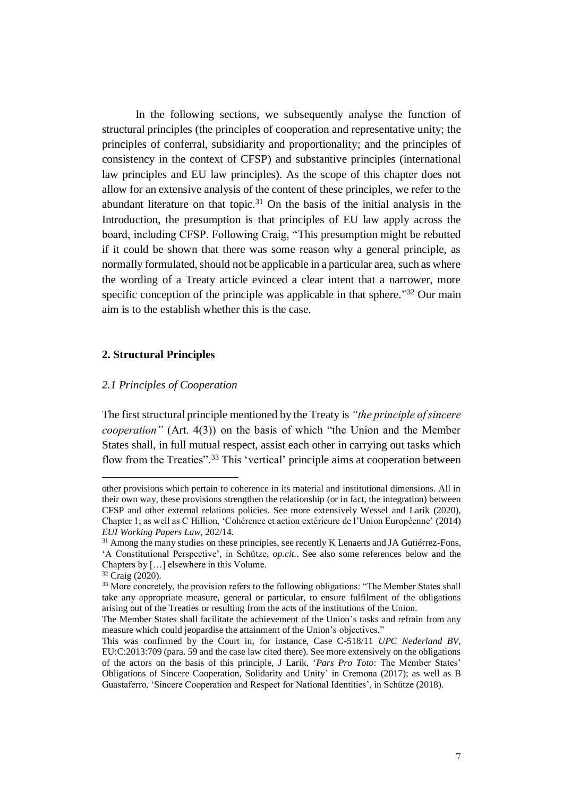In the following sections, we subsequently analyse the function of structural principles (the principles of cooperation and representative unity; the principles of conferral, subsidiarity and proportionality; and the principles of consistency in the context of CFSP) and substantive principles (international law principles and EU law principles). As the scope of this chapter does not allow for an extensive analysis of the content of these principles, we refer to the abundant literature on that topic.<sup>31</sup> On the basis of the initial analysis in the Introduction, the presumption is that principles of EU law apply across the board, including CFSP. Following Craig, "This presumption might be rebutted if it could be shown that there was some reason why a general principle, as normally formulated, should not be applicable in a particular area, such as where the wording of a Treaty article evinced a clear intent that a narrower, more specific conception of the principle was applicable in that sphere."<sup>32</sup> Our main aim is to the establish whether this is the case.

## **2. Structural Principles**

#### *2.1 Principles of Cooperation*

The first structural principle mentioned by the Treaty is *"the principle of sincere cooperation"* (Art. 4(3)) on the basis of which "the Union and the Member States shall, in full mutual respect, assist each other in carrying out tasks which flow from the Treaties".<sup>33</sup> This 'vertical' principle aims at cooperation between

other provisions which pertain to coherence in its material and institutional dimensions. All in their own way, these provisions strengthen the relationship (or in fact, the integration) between CFSP and other external relations policies. See more extensively Wessel and Larik (2020), Chapter 1; as well as C Hillion, 'Cohérence et action extérieure de l'Union Européenne' (2014) *EUI Working Papers Law*, 202/14.

<sup>&</sup>lt;sup>31</sup> Among the many studies on these principles, see recently K Lenaerts and JA Gutiérrez-Fons, 'A Constitutional Perspective', in Schütze, *op.cit.*. See also some references below and the Chapters by […] elsewhere in this Volume.

 $32 \text{ Craie} (2020)$ .

<sup>&</sup>lt;sup>33</sup> More concretely, the provision refers to the following obligations: "The Member States shall take any appropriate measure, general or particular, to ensure fulfilment of the obligations arising out of the Treaties or resulting from the acts of the institutions of the Union.

The Member States shall facilitate the achievement of the Union's tasks and refrain from any measure which could jeopardise the attainment of the Union's objectives."

This was confirmed by the Court in, for instance, Case C-518/11 *UPC Nederland BV*, EU:C:2013:709 (para. 59 and the case law cited there). See more extensively on the obligations of the actors on the basis of this principle, J Larik, '*Pars Pro Toto*: The Member States' Obligations of Sincere Cooperation, Solidarity and Unity' in Cremona (2017); as well as B Guastaferro, 'Sincere Cooperation and Respect for National Identities', in Schütze (2018).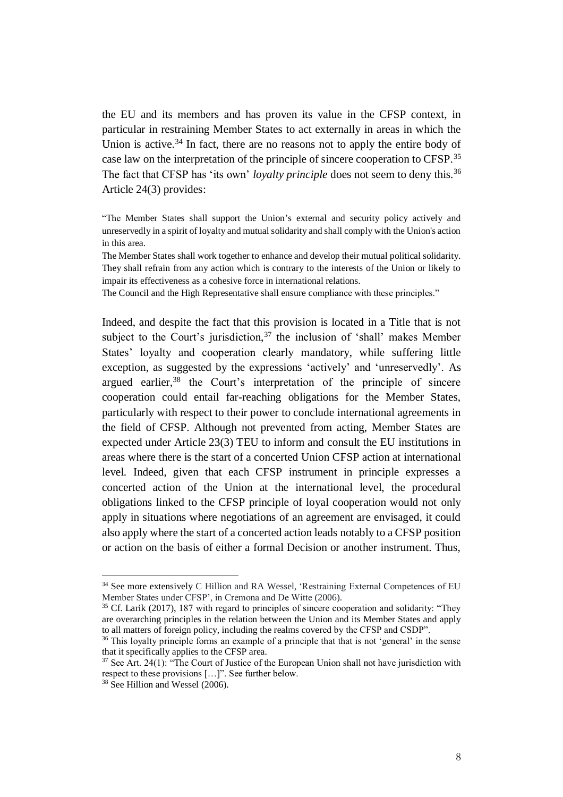the EU and its members and has proven its value in the CFSP context, in particular in restraining Member States to act externally in areas in which the Union is active.<sup>34</sup> In fact, there are no reasons not to apply the entire body of case law on the interpretation of the principle of sincere cooperation to CFSP.<sup>35</sup> The fact that CFSP has 'its own' *loyalty principle* does not seem to deny this.<sup>36</sup> Article 24(3) provides:

"The Member States shall support the Union's external and security policy actively and unreservedly in a spirit of loyalty and mutual solidarity and shall comply with the Union's action in this area.

The Member States shall work together to enhance and develop their mutual political solidarity. They shall refrain from any action which is contrary to the interests of the Union or likely to impair its effectiveness as a cohesive force in international relations.

The Council and the High Representative shall ensure compliance with these principles."

Indeed, and despite the fact that this provision is located in a Title that is not subject to the Court's jurisdiction,  $37$  the inclusion of 'shall' makes Member States' loyalty and cooperation clearly mandatory, while suffering little exception, as suggested by the expressions 'actively' and 'unreservedly'. As argued earlier,<sup>38</sup> the Court's interpretation of the principle of sincere cooperation could entail far-reaching obligations for the Member States, particularly with respect to their power to conclude international agreements in the field of CFSP. Although not prevented from acting, Member States are expected under Article 23(3) TEU to inform and consult the EU institutions in areas where there is the start of a concerted Union CFSP action at international level. Indeed, given that each CFSP instrument in principle expresses a concerted action of the Union at the international level, the procedural obligations linked to the CFSP principle of loyal cooperation would not only apply in situations where negotiations of an agreement are envisaged, it could also apply where the start of a concerted action leads notably to a CFSP position or action on the basis of either a formal Decision or another instrument. Thus,

<sup>34</sup> See more extensively C Hillion and RA Wessel, 'Restraining External Competences of EU Member States under CFSP', in Cremona and De Witte (2006).

<sup>&</sup>lt;sup>35</sup> Cf. Larik (2017), 187 with regard to principles of sincere cooperation and solidarity: "They are overarching principles in the relation between the Union and its Member States and apply to all matters of foreign policy, including the realms covered by the CFSP and CSDP".

<sup>&</sup>lt;sup>36</sup> This loyalty principle forms an example of a principle that that is not 'general' in the sense that it specifically applies to the CFSP area.

 $37$  See Art. 24(1): "The Court of Justice of the European Union shall not have jurisdiction with respect to these provisions […]". See further below.

 $38$  See Hillion and Wessel (2006).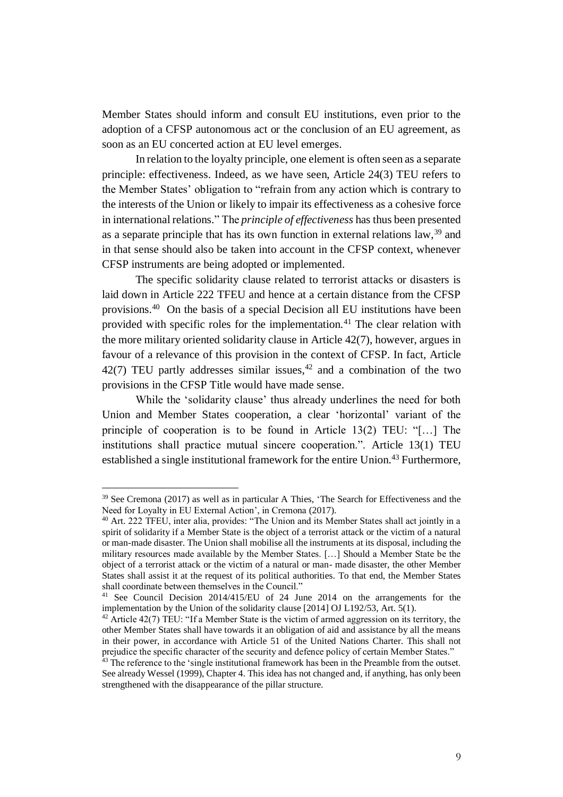Member States should inform and consult EU institutions, even prior to the adoption of a CFSP autonomous act or the conclusion of an EU agreement, as soon as an EU concerted action at EU level emerges.

In relation to the loyalty principle, one element is often seen as a separate principle: effectiveness. Indeed, as we have seen, Article 24(3) TEU refers to the Member States' obligation to "refrain from any action which is contrary to the interests of the Union or likely to impair its effectiveness as a cohesive force in international relations." The *principle of effectiveness* has thus been presented as a separate principle that has its own function in external relations law,<sup>39</sup> and in that sense should also be taken into account in the CFSP context, whenever CFSP instruments are being adopted or implemented.

The specific solidarity clause related to terrorist attacks or disasters is laid down in Article 222 TFEU and hence at a certain distance from the CFSP provisions.<sup>40</sup> On the basis of a special Decision all EU institutions have been provided with specific roles for the implementation.<sup>41</sup> The clear relation with the more military oriented solidarity clause in Article 42(7), however, argues in favour of a relevance of this provision in the context of CFSP. In fact, Article 42(7) TEU partly addresses similar issues,  $42$  and a combination of the two provisions in the CFSP Title would have made sense.

While the 'solidarity clause' thus already underlines the need for both Union and Member States cooperation, a clear 'horizontal' variant of the principle of cooperation is to be found in Article 13(2) TEU: "[…] The institutions shall practice mutual sincere cooperation.". Article 13(1) TEU established a single institutional framework for the entire Union.<sup>43</sup> Furthermore,

<sup>39</sup> See Cremona (2017) as well as in particular A Thies, 'The Search for Effectiveness and the Need for Loyalty in EU External Action', in Cremona (2017).

<sup>&</sup>lt;sup>40</sup> Art. 222 TFEU, inter alia, provides: "The Union and its Member States shall act jointly in a spirit of solidarity if a Member State is the object of a terrorist attack or the victim of a natural or man-made disaster. The Union shall mobilise all the instruments at its disposal, including the military resources made available by the Member States. […] Should a Member State be the object of a terrorist attack or the victim of a natural or man- made disaster, the other Member States shall assist it at the request of its political authorities. To that end, the Member States shall coordinate between themselves in the Council."

<sup>41</sup> See Council Decision 2014/415/EU of 24 June 2014 on the arrangements for the implementation by the Union of the solidarity clause [2014] OJ L192/53, Art. 5(1).

 $42$  Article 42(7) TEU: "If a Member State is the victim of armed aggression on its territory, the other Member States shall have towards it an obligation of aid and assistance by all the means in their power, in accordance with Article 51 of the United Nations Charter. This shall not prejudice the specific character of the security and defence policy of certain Member States."

<sup>&</sup>lt;sup>43</sup> The reference to the 'single institutional framework has been in the Preamble from the outset. See already Wessel (1999), Chapter 4. This idea has not changed and, if anything, has only been strengthened with the disappearance of the pillar structure.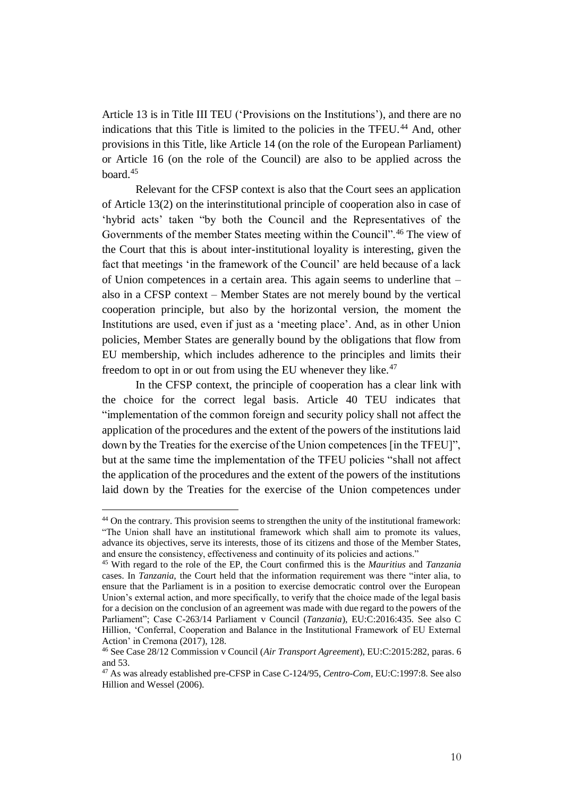Article 13 is in Title III TEU ('Provisions on the Institutions'), and there are no indications that this Title is limited to the policies in the TFEU.<sup>44</sup> And, other provisions in this Title, like Article 14 (on the role of the European Parliament) or Article 16 (on the role of the Council) are also to be applied across the board.<sup>45</sup>

Relevant for the CFSP context is also that the Court sees an application of Article 13(2) on the interinstitutional principle of cooperation also in case of 'hybrid acts' taken "by both the Council and the Representatives of the Governments of the member States meeting within the Council".<sup>46</sup> The view of the Court that this is about inter-institutional loyality is interesting, given the fact that meetings 'in the framework of the Council' are held because of a lack of Union competences in a certain area. This again seems to underline that – also in a CFSP context – Member States are not merely bound by the vertical cooperation principle, but also by the horizontal version, the moment the Institutions are used, even if just as a 'meeting place'. And, as in other Union policies, Member States are generally bound by the obligations that flow from EU membership, which includes adherence to the principles and limits their freedom to opt in or out from using the EU whenever they like.<sup>47</sup>

In the CFSP context, the principle of cooperation has a clear link with the choice for the correct legal basis. Article 40 TEU indicates that "implementation of the common foreign and security policy shall not affect the application of the procedures and the extent of the powers of the institutions laid down by the Treaties for the exercise of the Union competences [in the TFEU]", but at the same time the implementation of the TFEU policies "shall not affect the application of the procedures and the extent of the powers of the institutions laid down by the Treaties for the exercise of the Union competences under

<sup>&</sup>lt;sup>44</sup> On the contrary. This provision seems to strengthen the unity of the institutional framework: "The Union shall have an institutional framework which shall aim to promote its values, advance its objectives, serve its interests, those of its citizens and those of the Member States, and ensure the consistency, effectiveness and continuity of its policies and actions."

<sup>45</sup> With regard to the role of the EP, the Court confirmed this is the *Mauritius* and *Tanzania* cases. In *Tanzania*, the Court held that the information requirement was there "inter alia, to ensure that the Parliament is in a position to exercise democratic control over the European Union's external action, and more specifically, to verify that the choice made of the legal basis for a decision on the conclusion of an agreement was made with due regard to the powers of the Parliament"; Case C-263/14 Parliament v Council (*Tanzania*), EU:C:2016:435. See also C Hillion, 'Conferral, Cooperation and Balance in the Institutional Framework of EU External Action' in Cremona (2017), 128.

<sup>46</sup> See Case 28/12 Commission v Council (*Air Transport Agreement*), EU:C:2015:282, paras. 6 and 53.

<sup>47</sup> As was already established pre-CFSP in Case C-124/95, *Centro-Com*, EU:C:1997:8. See also Hillion and Wessel (2006).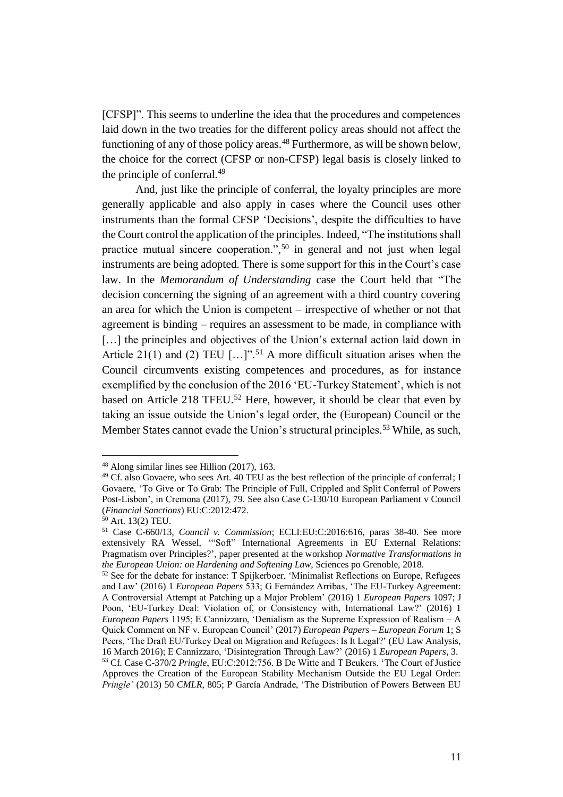[CFSP]". This seems to underline the idea that the procedures and competences laid down in the two treaties for the different policy areas should not affect the functioning of any of those policy areas.<sup>48</sup> Furthermore, as will be shown below, the choice for the correct (CFSP or non-CFSP) legal basis is closely linked to the principle of conferral.<sup>49</sup>

And, just like the principle of conferral, the loyalty principles are more generally applicable and also apply in cases where the Council uses other instruments than the formal CFSP 'Decisions', despite the difficulties to have the Court control the application of the principles. Indeed, "The institutions shall practice mutual sincere cooperation.", <sup>50</sup> in general and not just when legal instruments are being adopted. There is some support for this in the Court's case law. In the *Memorandum of Understanding* case the Court held that "The decision concerning the signing of an agreement with a third country covering an area for which the Union is competent – irrespective of whether or not that agreement is binding – requires an assessment to be made, in compliance with [...] the principles and objectives of the Union's external action laid down in Article 21(1) and (2) TEU  $[\dots]$ ".<sup>51</sup> A more difficult situation arises when the Council circumvents existing competences and procedures, as for instance exemplified by the conclusion of the 2016 'EU-Turkey Statement', which is not based on Article 218 TFEU.<sup>52</sup> Here, however, it should be clear that even by taking an issue outside the Union's legal order, the (European) Council or the Member States cannot evade the Union's structural principles.<sup>53</sup> While, as such,

<sup>48</sup> Along similar lines see Hillion (2017), 163.

<sup>&</sup>lt;sup>49</sup> Cf. also Govaere, who sees Art. 40 TEU as the best reflection of the principle of conferral; I Govaere, 'To Give or To Grab: The Principle of Full, Crippled and Split Conferral of Powers Post-Lisbon', in Cremona (2017), 79. See also Case C-130/10 European Parliament v Council (*Financial Sanctions*) EU:C:2012:472.

<sup>50</sup> Art. 13(2) TEU.

<sup>51</sup> Case C-660/13*, Council v. Commission*; ECLI:EU:C:2016:616, paras 38-40. See more extensively RA Wessel, '"Soft" International Agreements in EU External Relations: Pragmatism over Principles?', paper presented at the workshop *Normative Transformations in the European Union: on Hardening and Softening Law*, Sciences po Grenoble, 2018.

 $52$  See for the debate for instance: T Spijkerboer, 'Minimalist Reflections on Europe, Refugees and Law' (2016) 1 *European Papers* 533; G Fernández Arribas, 'The EU-Turkey Agreement: A Controversial Attempt at Patching up a Major Problem' (2016) 1 *European Papers* 1097; J Poon, 'EU-Turkey Deal: Violation of, or Consistency with, International Law?' (2016) 1 *European Papers* 1195; E Cannizzaro, 'Denialism as the Supreme Expression of Realism – A Quick Comment on NF v. European Council' (2017) *European Papers – European Forum* 1; S Peers, 'The Draft EU/Turkey Deal on Migration and Refugees: Is It Legal?' (EU Law Analysis, 16 March 2016); E Cannizzaro, 'Disintegration Through Law?' (2016) 1 *European Papers*, 3. <sup>53</sup> Cf. Case C-370/2 *Pringle*, EU:C:2012:756. B De Witte and T Beukers, 'The Court of Justice Approves the Creation of the European Stability Mechanism Outside the EU Legal Order: *Pringle'* (2013) 50 *CMLR*, 805; P García Andrade, 'The Distribution of Powers Between EU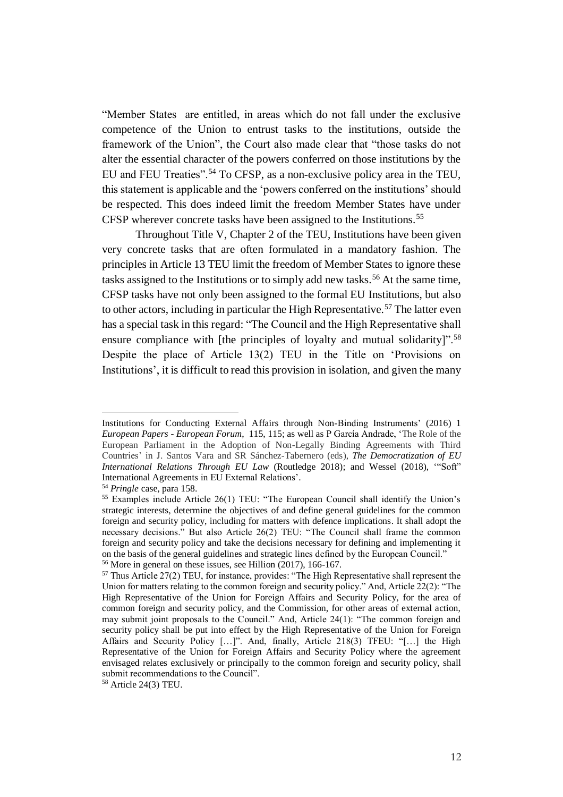"Member States are entitled, in areas which do not fall under the exclusive competence of the Union to entrust tasks to the institutions, outside the framework of the Union", the Court also made clear that "those tasks do not alter the essential character of the powers conferred on those institutions by the EU and FEU Treaties".<sup>54</sup> To CFSP, as a non-exclusive policy area in the TEU, this statement is applicable and the 'powers conferred on the institutions' should be respected. This does indeed limit the freedom Member States have under CFSP wherever concrete tasks have been assigned to the Institutions.<sup>55</sup>

Throughout Title V, Chapter 2 of the TEU, Institutions have been given very concrete tasks that are often formulated in a mandatory fashion. The principles in Article 13 TEU limit the freedom of Member States to ignore these tasks assigned to the Institutions or to simply add new tasks.<sup>56</sup> At the same time, CFSP tasks have not only been assigned to the formal EU Institutions, but also to other actors, including in particular the High Representative.<sup>57</sup> The latter even has a special task in this regard: "The Council and the High Representative shall ensure compliance with [the principles of loyalty and mutual solidarity]".<sup>58</sup> Despite the place of Article 13(2) TEU in the Title on 'Provisions on Institutions', it is difficult to read this provision in isolation, and given the many

Institutions for Conducting External Affairs through Non-Binding Instruments' (2016) 1 *European Papers* - *European Forum*, 115, 115; as well as P García Andrade, 'The Role of the European Parliament in the Adoption of Non-Legally Binding Agreements with Third Countries' in J. Santos Vara and SR Sánchez-Tabernero (eds), *The Democratization of EU International Relations Through EU Law* (Routledge 2018); and Wessel (2018), '"Soft" International Agreements in EU External Relations'.

<sup>54</sup> *Pringle* case, para 158.

<sup>&</sup>lt;sup>55</sup> Examples include Article 26(1) TEU: "The European Council shall identify the Union's strategic interests, determine the objectives of and define general guidelines for the common foreign and security policy, including for matters with defence implications. It shall adopt the necessary decisions." But also Article 26(2) TEU: "The Council shall frame the common foreign and security policy and take the decisions necessary for defining and implementing it on the basis of the general guidelines and strategic lines defined by the European Council." <sup>56</sup> More in general on these issues, see Hillion (2017), 166-167.

<sup>&</sup>lt;sup>57</sup> Thus Article 27(2) TEU, for instance, provides: "The High Representative shall represent the Union for matters relating to the common foreign and security policy." And, Article 22(2): "The High Representative of the Union for Foreign Affairs and Security Policy, for the area of common foreign and security policy, and the Commission, for other areas of external action, may submit joint proposals to the Council." And, Article 24(1): "The common foreign and security policy shall be put into effect by the High Representative of the Union for Foreign Affairs and Security Policy […]". And, finally, Article 218(3) TFEU: "[…] the High Representative of the Union for Foreign Affairs and Security Policy where the agreement envisaged relates exclusively or principally to the common foreign and security policy, shall submit recommendations to the Council".

<sup>58</sup> Article 24(3) TEU.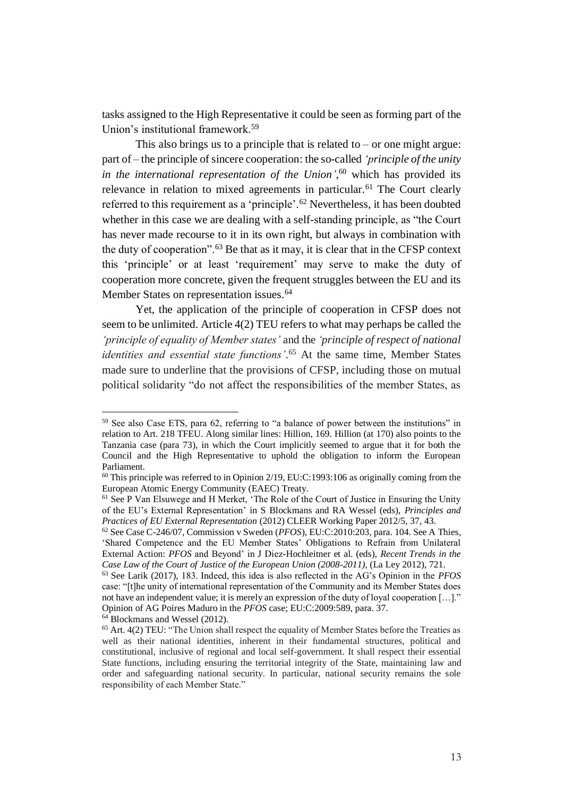tasks assigned to the High Representative it could be seen as forming part of the Union's institutional framework.<sup>59</sup>

This also brings us to a principle that is related to  $-$  or one might argue: part of – the principle of sincere cooperation: the so-called *'principle of the unity in the international representation of the Union'*, <sup>60</sup> which has provided its relevance in relation to mixed agreements in particular.<sup>61</sup> The Court clearly referred to this requirement as a 'principle'.<sup>62</sup> Nevertheless, it has been doubted whether in this case we are dealing with a self-standing principle, as "the Court has never made recourse to it in its own right, but always in combination with the duty of cooperation".<sup>63</sup> Be that as it may, it is clear that in the CFSP context this 'principle' or at least 'requirement' may serve to make the duty of cooperation more concrete, given the frequent struggles between the EU and its Member States on representation issues.<sup>64</sup>

Yet, the application of the principle of cooperation in CFSP does not seem to be unlimited. Article 4(2) TEU refers to what may perhaps be called the *'principle of equality of Member states'* and the *'principle of respect of national identities and essential state functions'*. <sup>65</sup> At the same time, Member States made sure to underline that the provisions of CFSP, including those on mutual political solidarity "do not affect the responsibilities of the member States, as

 $<sup>64</sup>$  Blockmans and Wessel (2012).</sup>

<sup>59</sup> See also Case ETS, para 62, referring to "a balance of power between the institutions" in relation to Art. 218 TFEU. Along similar lines: Hillion, 169. Hillion (at 170) also points to the Tanzania case (para 73), in which the Court implicitly seemed to argue that it for both the Council and the High Representative to uphold the obligation to inform the European Parliament.

 $60$  This principle was referred to in Opinion 2/19, EU:C:1993:106 as originally coming from the European Atomic Energy Community (EAEC) Treaty.

<sup>&</sup>lt;sup>61</sup> See P Van Elsuwege and H Merket, 'The Role of the Court of Justice in Ensuring the Unity of the EU's External Representation' in S Blockmans and RA Wessel (eds), *Principles and Practices of EU External Representation* (2012) CLEER Working Paper 2012/5, 37, 43.

<sup>62</sup> See Case C-246/07, Commission v Sweden (*PFOS*), EU:C:2010:203, para. 104. See A Thies, 'Shared Competence and the EU Member States' Obligations to Refrain from Unilateral External Action: *PFOS* and Beyond' in J Diez-Hochleitner et al. (eds), *Recent Trends in the Case Law of the Court of Justice of the European Union (2008-2011)*, (La Ley 2012), 721.

<sup>63</sup> See Larik (2017), 183. Indeed, this idea is also reflected in the AG's Opinion in the *PFOS* case: "[t]he unity of international representation of the Community and its Member States does not have an independent value; it is merely an expression of the duty of loyal cooperation […]." Opinion of AG Poires Maduro in the *PFOS* case; EU:C:2009:589, para. 37.

<sup>65</sup> Art. 4(2) TEU: "The Union shall respect the equality of Member States before the Treaties as well as their national identities, inherent in their fundamental structures, political and constitutional, inclusive of regional and local self-government. It shall respect their essential State functions, including ensuring the territorial integrity of the State, maintaining law and order and safeguarding national security. In particular, national security remains the sole responsibility of each Member State."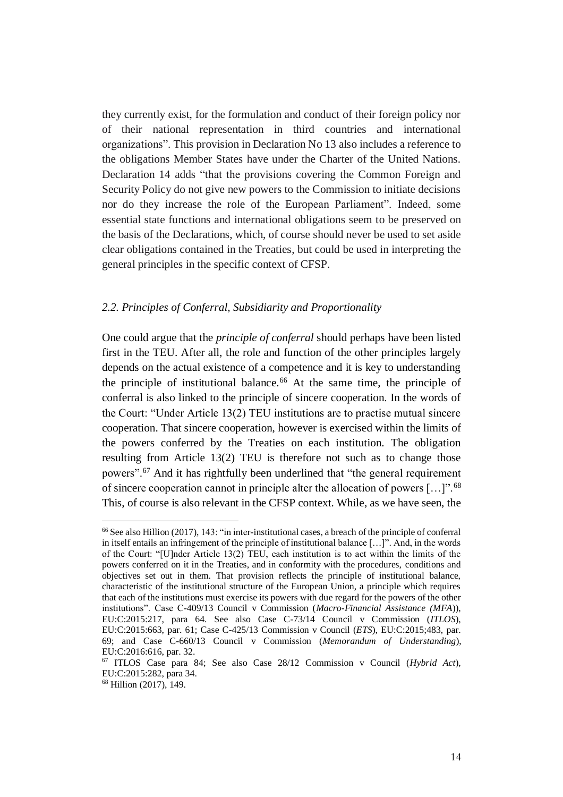they currently exist, for the formulation and conduct of their foreign policy nor of their national representation in third countries and international organizations". This provision in Declaration No 13 also includes a reference to the obligations Member States have under the Charter of the United Nations. Declaration 14 adds "that the provisions covering the Common Foreign and Security Policy do not give new powers to the Commission to initiate decisions nor do they increase the role of the European Parliament". Indeed, some essential state functions and international obligations seem to be preserved on the basis of the Declarations, which, of course should never be used to set aside clear obligations contained in the Treaties, but could be used in interpreting the general principles in the specific context of CFSP.

#### *2.2. Principles of Conferral, Subsidiarity and Proportionality*

One could argue that the *principle of conferral* should perhaps have been listed first in the TEU. After all, the role and function of the other principles largely depends on the actual existence of a competence and it is key to understanding the principle of institutional balance.<sup>66</sup> At the same time, the principle of conferral is also linked to the principle of sincere cooperation. In the words of the Court: "Under Article 13(2) TEU institutions are to practise mutual sincere cooperation. That sincere cooperation, however is exercised within the limits of the powers conferred by the Treaties on each institution. The obligation resulting from Article 13(2) TEU is therefore not such as to change those powers".<sup>67</sup> And it has rightfully been underlined that "the general requirement of sincere cooperation cannot in principle alter the allocation of powers […]".<sup>68</sup> This, of course is also relevant in the CFSP context. While, as we have seen, the

<sup>66</sup>See also Hillion (2017), 143: "in inter-institutional cases, a breach of the principle of conferral in itself entails an infringement of the principle of institutional balance […]". And, in the words of the Court: "[U]nder Article 13(2) TEU, each institution is to act within the limits of the powers conferred on it in the Treaties, and in conformity with the procedures, conditions and objectives set out in them. That provision reflects the principle of institutional balance, characteristic of the institutional structure of the European Union, a principle which requires that each of the institutions must exercise its powers with due regard for the powers of the other institutions". Case C-409/13 Council v Commission (*Macro-Financial Assistance (MFA*)), EU:C:2015:217, para 64. See also Case C-73/14 Council v Commission (*ITLOS*), EU:C:2015:663, par. 61; Case C-425/13 Commission v Council (*ETS*), EU:C:2015;483, par. 69; and Case C-660/13 Council v Commission (*Memorandum of Understanding*), EU:C:2016:616, par. 32.

<sup>67</sup> ITLOS Case para 84; See also Case 28/12 Commission v Council (*Hybrid Act*), EU:C:2015:282, para 34.

<sup>68</sup> Hillion (2017), 149.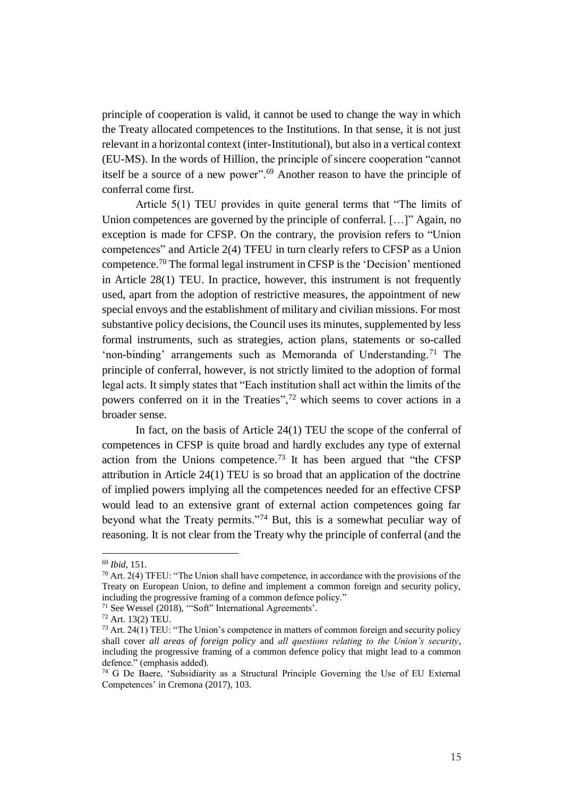principle of cooperation is valid, it cannot be used to change the way in which the Treaty allocated competences to the Institutions. In that sense, it is not just relevant in a horizontal context (inter-Institutional), but also in a vertical context (EU-MS). In the words of Hillion, the principle of sincere cooperation "cannot itself be a source of a new power".<sup>69</sup> Another reason to have the principle of conferral come first.

Article 5(1) TEU provides in quite general terms that "The limits of Union competences are governed by the principle of conferral. [...]" Again, no exception is made for CFSP. On the contrary, the provision refers to "Union competences" and Article 2(4) TFEU in turn clearly refers to CFSP as a Union competence.<sup>70</sup> The formal legal instrument in CFSP is the 'Decision' mentioned in Article 28(1) TEU. In practice, however, this instrument is not frequently used, apart from the adoption of restrictive measures, the appointment of new special envoys and the establishment of military and civilian missions. For most substantive policy decisions, the Council uses its minutes, supplemented by less formal instruments, such as strategies, action plans, statements or so-called 'non-binding' arrangements such as Memoranda of Understanding.<sup>71</sup> The principle of conferral, however, is not strictly limited to the adoption of formal legal acts. It simply states that "Each institution shall act within the limits of the powers conferred on it in the Treaties",<sup>72</sup> which seems to cover actions in a broader sense.

In fact, on the basis of Article 24(1) TEU the scope of the conferral of competences in CFSP is quite broad and hardly excludes any type of external action from the Unions competence.<sup>73</sup> It has been argued that "the CFSP attribution in Article 24(1) TEU is so broad that an application of the doctrine of implied powers implying all the competences needed for an effective CFSP would lead to an extensive grant of external action competences going far beyond what the Treaty permits."<sup>74</sup> But, this is a somewhat peculiar way of reasoning. It is not clear from the Treaty why the principle of conferral (and the

<sup>69</sup> *Ibid*, 151.

 $70$  Art. 2(4) TFEU: "The Union shall have competence, in accordance with the provisions of the Treaty on European Union, to define and implement a common foreign and security policy, including the progressive framing of a common defence policy."

<sup>71</sup> See Wessel (2018), '"Soft" International Agreements'.

<sup>72</sup> Art. 13(2) TEU.

<sup>&</sup>lt;sup>73</sup> Art. 24(1) TEU: "The Union's competence in matters of common foreign and security policy shall cover *all areas of foreign policy* and *all questions relating to the Union's security*, including the progressive framing of a common defence policy that might lead to a common defence." (emphasis added).

<sup>74</sup> G De Baere, 'Subsidiarity as a Structural Principle Governing the Use of EU External Competences' in Cremona (2017), 103.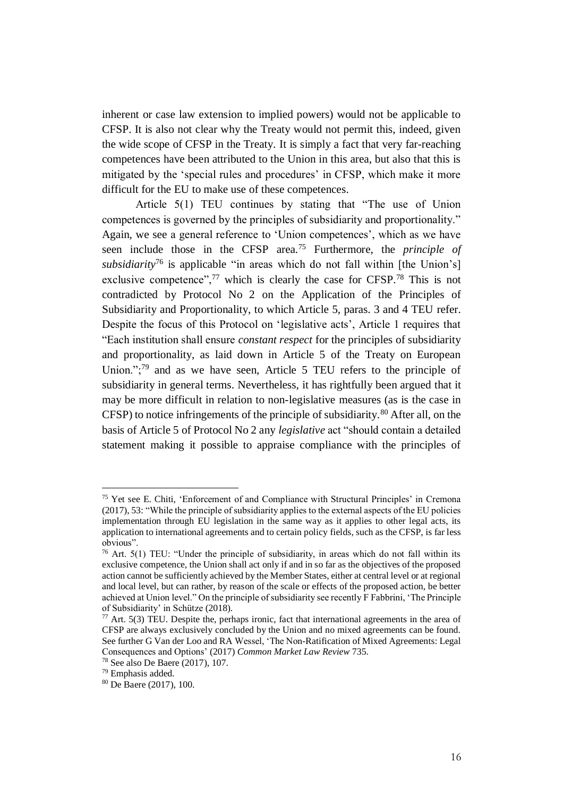inherent or case law extension to implied powers) would not be applicable to CFSP. It is also not clear why the Treaty would not permit this, indeed, given the wide scope of CFSP in the Treaty. It is simply a fact that very far-reaching competences have been attributed to the Union in this area, but also that this is mitigated by the 'special rules and procedures' in CFSP, which make it more difficult for the EU to make use of these competences.

Article 5(1) TEU continues by stating that "The use of Union competences is governed by the principles of subsidiarity and proportionality." Again, we see a general reference to 'Union competences', which as we have seen include those in the CFSP area.<sup>75</sup> Furthermore, the *principle of subsidiarity*<sup>76</sup> is applicable "in areas which do not fall within [the Union's] exclusive competence", $^{77}$  which is clearly the case for CFSP.<sup>78</sup> This is not contradicted by Protocol No 2 on the Application of the Principles of Subsidiarity and Proportionality, to which Article 5, paras. 3 and 4 TEU refer. Despite the focus of this Protocol on 'legislative acts', Article 1 requires that "Each institution shall ensure *constant respect* for the principles of subsidiarity and proportionality, as laid down in Article 5 of the Treaty on European Union.":<sup>79</sup> and as we have seen, Article 5 TEU refers to the principle of subsidiarity in general terms. Nevertheless, it has rightfully been argued that it may be more difficult in relation to non-legislative measures (as is the case in CFSP) to notice infringements of the principle of subsidiarity.<sup>80</sup> After all, on the basis of Article 5 of Protocol No 2 any *legislative* act "should contain a detailed statement making it possible to appraise compliance with the principles of

<sup>75</sup> Yet see E. Chiti, 'Enforcement of and Compliance with Structural Principles' in Cremona (2017), 53: "While the principle of subsidiarity applies to the external aspects of the EU policies implementation through EU legislation in the same way as it applies to other legal acts, its application to international agreements and to certain policy fields, such as the CFSP, is far less obvious".

<sup>&</sup>lt;sup>76</sup> Art. 5(1) TEU: "Under the principle of subsidiarity, in areas which do not fall within its exclusive competence, the Union shall act only if and in so far as the objectives of the proposed action cannot be sufficiently achieved by the Member States, either at central level or at regional and local level, but can rather, by reason of the scale or effects of the proposed action, be better achieved at Union level." On the principle of subsidiarity see recently F Fabbrini, 'The Principle of Subsidiarity' in Schütze (2018).

 $77$  Art. 5(3) TEU. Despite the, perhaps ironic, fact that international agreements in the area of CFSP are always exclusively concluded by the Union and no mixed agreements can be found. See further G Van der Loo and RA Wessel, 'The Non-Ratification of Mixed Agreements: Legal Consequences and Options' (2017) *Common Market Law Review* 735.

<sup>78</sup> See also De Baere (2017), 107.

<sup>79</sup> Emphasis added.

<sup>80</sup> De Baere (2017), 100.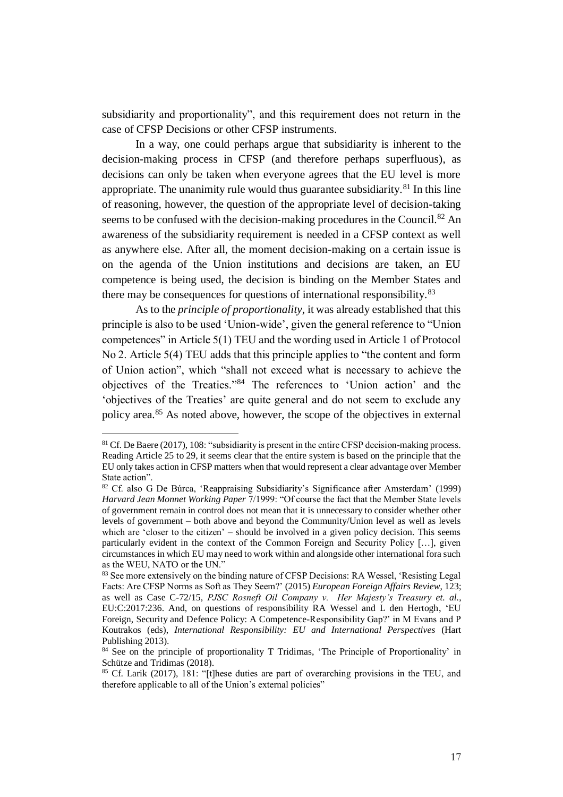subsidiarity and proportionality", and this requirement does not return in the case of CFSP Decisions or other CFSP instruments.

In a way, one could perhaps argue that subsidiarity is inherent to the decision-making process in CFSP (and therefore perhaps superfluous), as decisions can only be taken when everyone agrees that the EU level is more appropriate. The unanimity rule would thus guarantee subsidiarity.<sup>81</sup> In this line of reasoning, however, the question of the appropriate level of decision-taking seems to be confused with the decision-making procedures in the Council.<sup>82</sup> An awareness of the subsidiarity requirement is needed in a CFSP context as well as anywhere else. After all, the moment decision-making on a certain issue is on the agenda of the Union institutions and decisions are taken, an EU competence is being used, the decision is binding on the Member States and there may be consequences for questions of international responsibility.<sup>83</sup>

As to the *principle of proportionality*, it was already established that this principle is also to be used 'Union-wide', given the general reference to "Union competences" in Article 5(1) TEU and the wording used in Article 1 of Protocol No 2. Article 5(4) TEU adds that this principle applies to "the content and form of Union action", which "shall not exceed what is necessary to achieve the objectives of the Treaties."<sup>84</sup> The references to 'Union action' and the 'objectives of the Treaties' are quite general and do not seem to exclude any policy area.<sup>85</sup> As noted above, however, the scope of the objectives in external

<sup>81</sup> Cf. De Baere (2017), 108: "subsidiarity is present in the entire CFSP decision-making process. Reading Article 25 to 29, it seems clear that the entire system is based on the principle that the EU only takes action in CFSP matters when that would represent a clear advantage over Member State action".

<sup>82</sup> Cf. also G De Búrca, 'Reappraising Subsidiarity's Significance after Amsterdam' (1999) *Harvard Jean Monnet Working Paper* 7/1999: "Of course the fact that the Member State levels of government remain in control does not mean that it is unnecessary to consider whether other levels of government – both above and beyond the Community/Union level as well as levels which are 'closer to the citizen' – should be involved in a given policy decision. This seems particularly evident in the context of the Common Foreign and Security Policy […], given circumstances in which EU may need to work within and alongside other international fora such as the WEU, NATO or the UN."

<sup>83</sup> See more extensively on the binding nature of CFSP Decisions: RA Wessel, 'Resisting Legal Facts: Are CFSP Norms as Soft as They Seem?' (2015) *European Foreign Affairs Review*, 123; as well as Case C-72/15, *PJSC Rosneft Oil Company v. Her Majesty's Treasury et. al.*, EU:C:2017:236. And, on questions of responsibility RA Wessel and L den Hertogh, 'EU Foreign, Security and Defence Policy: A Competence-Responsibility Gap?' in M Evans and P Koutrakos (eds), *International Responsibility: EU and International Perspectives* (Hart Publishing 2013).

<sup>&</sup>lt;sup>84</sup> See on the principle of proportionality T Tridimas, 'The Principle of Proportionality' in Schütze and Tridimas (2018).

<sup>&</sup>lt;sup>85</sup> Cf. Larik (2017), 181: "[t]hese duties are part of overarching provisions in the TEU, and therefore applicable to all of the Union's external policies"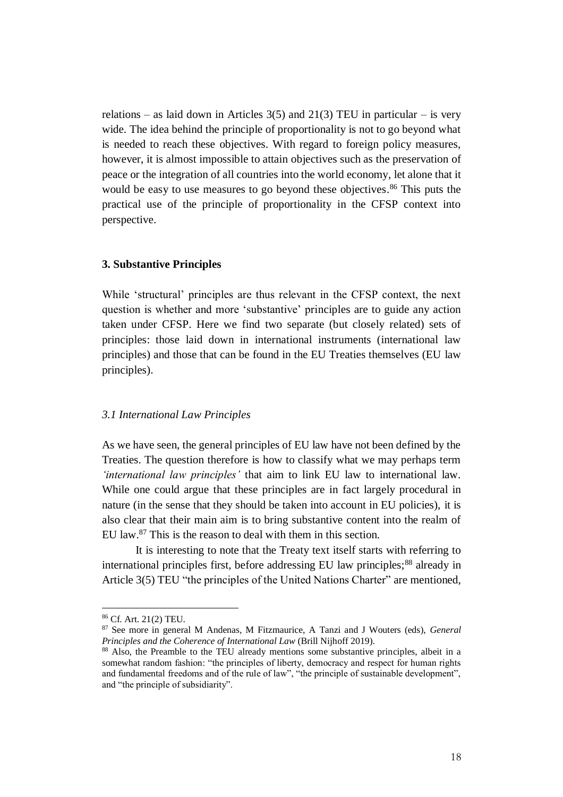relations – as laid down in Articles  $3(5)$  and  $21(3)$  TEU in particular – is very wide. The idea behind the principle of proportionality is not to go beyond what is needed to reach these objectives. With regard to foreign policy measures, however, it is almost impossible to attain objectives such as the preservation of peace or the integration of all countries into the world economy, let alone that it would be easy to use measures to go beyond these objectives. <sup>86</sup> This puts the practical use of the principle of proportionality in the CFSP context into perspective.

## **3. Substantive Principles**

While 'structural' principles are thus relevant in the CFSP context, the next question is whether and more 'substantive' principles are to guide any action taken under CFSP. Here we find two separate (but closely related) sets of principles: those laid down in international instruments (international law principles) and those that can be found in the EU Treaties themselves (EU law principles).

## *3.1 International Law Principles*

As we have seen, the general principles of EU law have not been defined by the Treaties. The question therefore is how to classify what we may perhaps term *'international law principles'* that aim to link EU law to international law. While one could argue that these principles are in fact largely procedural in nature (in the sense that they should be taken into account in EU policies), it is also clear that their main aim is to bring substantive content into the realm of EU law.<sup>87</sup> This is the reason to deal with them in this section.

It is interesting to note that the Treaty text itself starts with referring to international principles first, before addressing EU law principles;<sup>88</sup> already in Article 3(5) TEU "the principles of the United Nations Charter" are mentioned,

<sup>86</sup> Cf. Art. 21(2) TEU.

<sup>87</sup> See more in general M Andenas, M Fitzmaurice, A Tanzi and J Wouters (eds), *General Principles and the Coherence of International Law* (Brill Nijhoff 2019).

<sup>88</sup> Also, the Preamble to the TEU already mentions some substantive principles, albeit in a somewhat random fashion: "the principles of liberty, democracy and respect for human rights and fundamental freedoms and of the rule of law", "the principle of sustainable development", and "the principle of subsidiarity".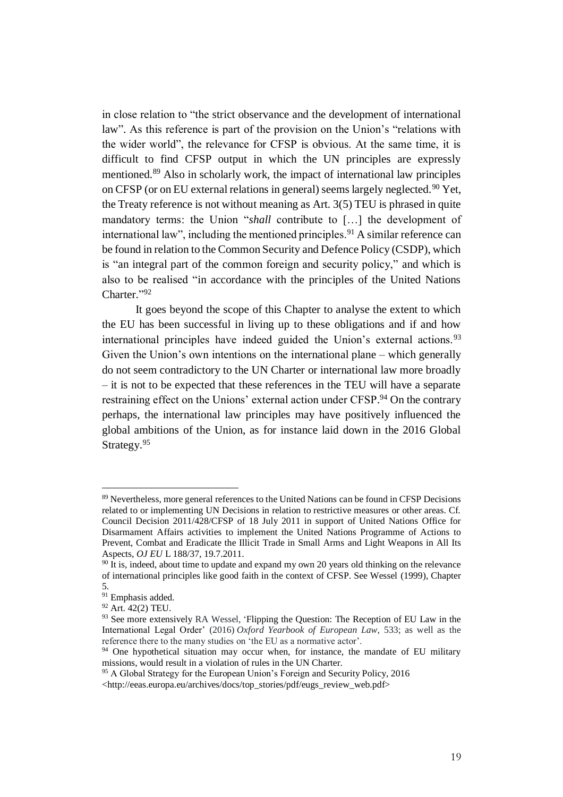in close relation to "the strict observance and the development of international law". As this reference is part of the provision on the Union's "relations with the wider world", the relevance for CFSP is obvious. At the same time, it is difficult to find CFSP output in which the UN principles are expressly mentioned.<sup>89</sup> Also in scholarly work, the impact of international law principles on CFSP (or on EU external relations in general) seems largely neglected.<sup>90</sup> Yet, the Treaty reference is not without meaning as Art. 3(5) TEU is phrased in quite mandatory terms: the Union "*shall* contribute to […] the development of international law", including the mentioned principles.<sup>91</sup> A similar reference can be found in relation to the Common Security and Defence Policy (CSDP), which is "an integral part of the common foreign and security policy," and which is also to be realised "in accordance with the principles of the United Nations Charter."92

It goes beyond the scope of this Chapter to analyse the extent to which the EU has been successful in living up to these obligations and if and how international principles have indeed guided the Union's external actions.<sup>93</sup> Given the Union's own intentions on the international plane – which generally do not seem contradictory to the UN Charter or international law more broadly – it is not to be expected that these references in the TEU will have a separate restraining effect on the Unions' external action under CFSP.<sup>94</sup> On the contrary perhaps, the international law principles may have positively influenced the global ambitions of the Union, as for instance laid down in the 2016 Global Strategy.<sup>95</sup>

<sup>89</sup> Nevertheless, more general references to the United Nations can be found in CFSP Decisions related to or implementing UN Decisions in relation to restrictive measures or other areas. Cf. Council Decision 2011/428/CFSP of 18 July 2011 in support of United Nations Office for Disarmament Affairs activities to implement the United Nations Programme of Actions to Prevent, Combat and Eradicate the Illicit Trade in Small Arms and Light Weapons in All Its Aspects, *OJ EU* L 188/37, 19.7.2011.

 $90 \text{ It}$  is, indeed, about time to update and expand my own 20 years old thinking on the relevance of international principles like good faith in the context of CFSP. See Wessel (1999)*,* Chapter 5.

<sup>&</sup>lt;sup>91</sup> Emphasis added.

<sup>92</sup> Art. 42(2) TEU.

<sup>&</sup>lt;sup>93</sup> See more extensively RA Wessel, 'Flipping the Question: The Reception of EU Law in the International Legal Order' (2016) *Oxford Yearbook of European Law*, 533; as well as the reference there to the many studies on 'the EU as a normative actor'.

<sup>&</sup>lt;sup>94</sup> One hypothetical situation may occur when, for instance, the mandate of EU military missions, would result in a violation of rules in the UN Charter.

<sup>95</sup> A Global Strategy for the European Union's Foreign and Security Policy, 2016

<sup>&</sup>lt;http://eeas.europa.eu/archives/docs/top\_stories/pdf/eugs\_review\_web.pdf>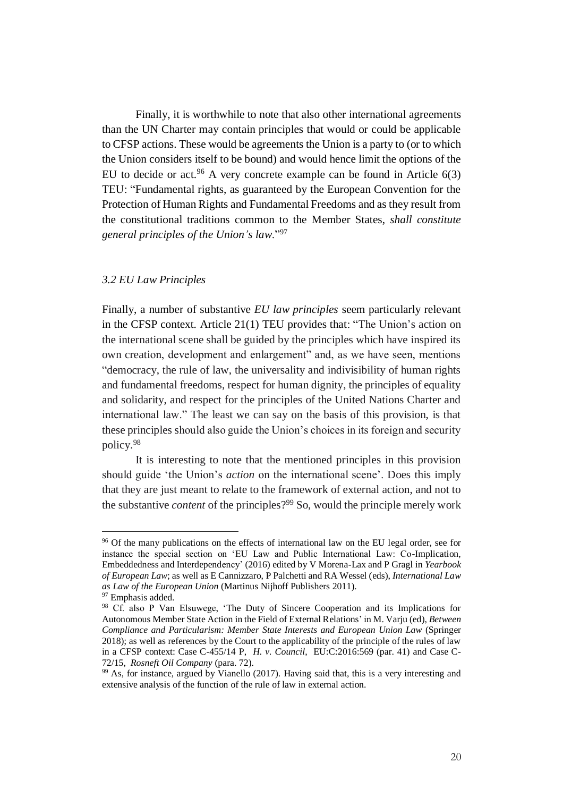Finally, it is worthwhile to note that also other international agreements than the UN Charter may contain principles that would or could be applicable to CFSP actions. These would be agreements the Union is a party to (or to which the Union considers itself to be bound) and would hence limit the options of the EU to decide or act.<sup>96</sup> A very concrete example can be found in Article  $6(3)$ TEU: "Fundamental rights, as guaranteed by the European Convention for the Protection of Human Rights and Fundamental Freedoms and as they result from the constitutional traditions common to the Member States, *shall constitute general principles of the Union's law*."<sup>97</sup>

# *3.2 EU Law Principles*

Finally, a number of substantive *EU law principles* seem particularly relevant in the CFSP context. Article 21(1) TEU provides that: "The Union's action on the international scene shall be guided by the principles which have inspired its own creation, development and enlargement" and, as we have seen, mentions "democracy, the rule of law, the universality and indivisibility of human rights and fundamental freedoms, respect for human dignity, the principles of equality and solidarity, and respect for the principles of the United Nations Charter and international law." The least we can say on the basis of this provision, is that these principles should also guide the Union's choices in its foreign and security policy.<sup>98</sup>

It is interesting to note that the mentioned principles in this provision should guide 'the Union's *action* on the international scene'. Does this imply that they are just meant to relate to the framework of external action, and not to the substantive *content* of the principles?<sup>99</sup> So, would the principle merely work

<sup>&</sup>lt;sup>96</sup> Of the many publications on the effects of international law on the EU legal order, see for instance the special section on 'EU Law and Public International Law: Co-Implication, Embeddedness and Interdependency' (2016) edited by V Morena-Lax and P Gragl in *Yearbook of European Law*; as well as E Cannizzaro, P Palchetti and RA Wessel (eds), *International Law as Law of the European Union* (Martinus Nijhoff Publishers 2011).

<sup>&</sup>lt;sup>97</sup> Emphasis added.

<sup>98</sup> Cf. also P Van Elsuwege, 'The Duty of Sincere Cooperation and its Implications for Autonomous Member State Action in the Field of External Relations' in M. Varju (ed), *Between Compliance and Particularism: Member State Interests and European Union Law* (Springer 2018); as well as references by the Court to the applicability of the principle of the rules of law in a CFSP context: Case C-455/14 P, *H. v. Council*, EU:C:2016:569 (par. 41) and Case C-72/15, *Rosneft Oil Company* (para. 72).

<sup>&</sup>lt;sup>99</sup> As, for instance, argued by Vianello (2017). Having said that, this is a very interesting and extensive analysis of the function of the rule of law in external action.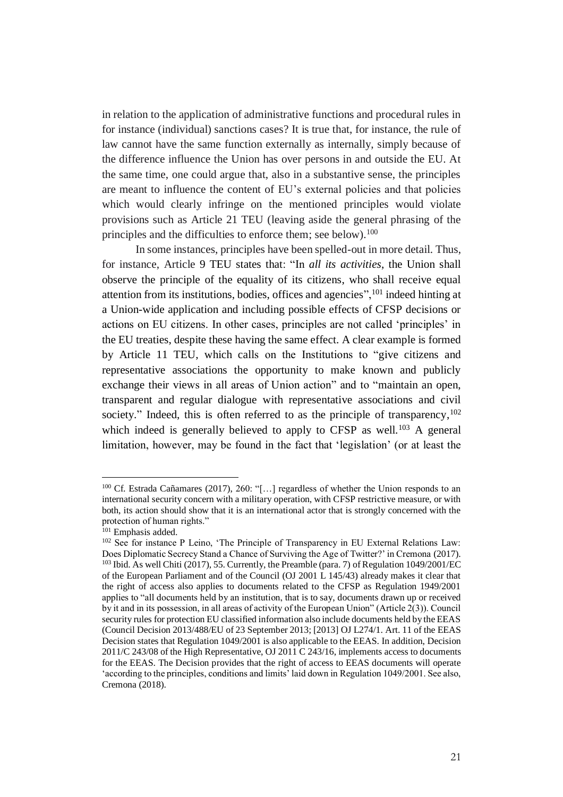in relation to the application of administrative functions and procedural rules in for instance (individual) sanctions cases? It is true that, for instance, the rule of law cannot have the same function externally as internally, simply because of the difference influence the Union has over persons in and outside the EU. At the same time, one could argue that, also in a substantive sense, the principles are meant to influence the content of EU's external policies and that policies which would clearly infringe on the mentioned principles would violate provisions such as Article 21 TEU (leaving aside the general phrasing of the principles and the difficulties to enforce them; see below).<sup>100</sup>

In some instances, principles have been spelled-out in more detail. Thus, for instance, Article 9 TEU states that: "In *all its activities*, the Union shall observe the principle of the equality of its citizens, who shall receive equal attention from its institutions, bodies, offices and agencies",<sup>101</sup> indeed hinting at a Union-wide application and including possible effects of CFSP decisions or actions on EU citizens. In other cases, principles are not called 'principles' in the EU treaties, despite these having the same effect. A clear example is formed by Article 11 TEU, which calls on the Institutions to "give citizens and representative associations the opportunity to make known and publicly exchange their views in all areas of Union action" and to "maintain an open, transparent and regular dialogue with representative associations and civil society." Indeed, this is often referred to as the principle of transparency, 102 which indeed is generally believed to apply to CFSP as well.<sup>103</sup> A general limitation, however, may be found in the fact that 'legislation' (or at least the

<sup>100</sup> Cf. Estrada Cañamares (2017), 260: "[…] regardless of whether the Union responds to an international security concern with a military operation, with CFSP restrictive measure, or with both, its action should show that it is an international actor that is strongly concerned with the protection of human rights."

<sup>101</sup> Emphasis added.

<sup>&</sup>lt;sup>102</sup> See for instance P Leino, 'The Principle of Transparency in EU External Relations Law: Does Diplomatic Secrecy Stand a Chance of Surviving the Age of Twitter?' in Cremona (2017). <sup>103</sup> Ibid. As well Chiti (2017), 55. Currently, the Preamble (para. 7) of Regulation 1049/2001/EC of the European Parliament and of the Council (OJ 2001 L 145/43) already makes it clear that the right of access also applies to documents related to the CFSP as Regulation 1949/2001 applies to "all documents held by an institution, that is to say, documents drawn up or received by it and in its possession, in all areas of activity of the European Union" (Article 2(3)). Council security rules for protection EU classified information also include documents held by the EEAS (Council Decision 2013/488/EU of 23 September 2013; [2013] OJ L274/1. Art. 11 of the EEAS Decision states that Regulation 1049/2001 is also applicable to the EEAS. In addition, Decision 2011/C 243/08 of the High Representative, OJ 2011 C 243/16, implements access to documents for the EEAS. The Decision provides that the right of access to EEAS documents will operate 'according to the principles, conditions and limits' laid down in Regulation 1049/2001. See also, Cremona (2018).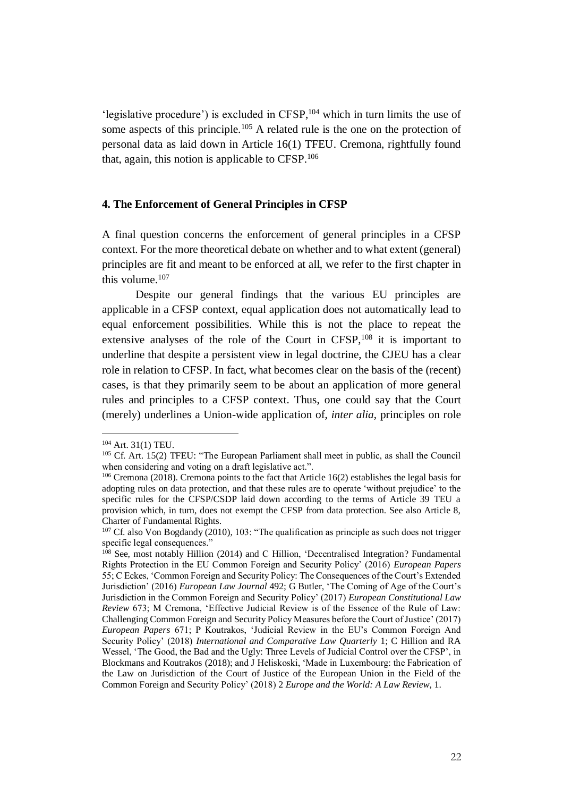'legislative procedure') is excluded in  $CFSP$ ,<sup>104</sup> which in turn limits the use of some aspects of this principle.<sup>105</sup> A related rule is the one on the protection of personal data as laid down in Article 16(1) TFEU. Cremona, rightfully found that, again, this notion is applicable to CFSP.<sup>106</sup>

#### **4. The Enforcement of General Principles in CFSP**

A final question concerns the enforcement of general principles in a CFSP context. For the more theoretical debate on whether and to what extent (general) principles are fit and meant to be enforced at all, we refer to the first chapter in this volume.<sup>107</sup>

Despite our general findings that the various EU principles are applicable in a CFSP context, equal application does not automatically lead to equal enforcement possibilities. While this is not the place to repeat the extensive analyses of the role of the Court in CFSP,<sup>108</sup> it is important to underline that despite a persistent view in legal doctrine, the CJEU has a clear role in relation to CFSP. In fact, what becomes clear on the basis of the (recent) cases, is that they primarily seem to be about an application of more general rules and principles to a CFSP context. Thus, one could say that the Court (merely) underlines a Union-wide application of, *inter alia*, principles on role

<sup>104</sup> Art. 31(1) TEU.

<sup>&</sup>lt;sup>105</sup> Cf. Art. 15(2) TFEU: "The European Parliament shall meet in public, as shall the Council when considering and voting on a draft legislative act.".

<sup>&</sup>lt;sup>106</sup> Cremona (2018). Cremona points to the fact that Article 16(2) establishes the legal basis for adopting rules on data protection, and that these rules are to operate 'without prejudice' to the specific rules for the CFSP/CSDP laid down according to the terms of Article 39 TEU a provision which, in turn, does not exempt the CFSP from data protection. See also Article 8, Charter of Fundamental Rights.

<sup>&</sup>lt;sup>107</sup> Cf. also Von Bogdandy (2010), 103: "The qualification as principle as such does not trigger specific legal consequences."

<sup>&</sup>lt;sup>108</sup> See, most notably Hillion (2014) and C Hillion, 'Decentralised Integration? Fundamental Rights Protection in the EU Common Foreign and Security Policy' (2016) *European Papers*  55; C Eckes, 'Common Foreign and Security Policy: The Consequences of the Court's Extended Jurisdiction' (2016) *European Law Journal* 492; G Butler, 'The Coming of Age of the Court's Jurisdiction in the Common Foreign and Security Policy' (2017) *European Constitutional Law Review* 673; M Cremona, 'Effective Judicial Review is of the Essence of the Rule of Law: Challenging Common Foreign and Security Policy Measures before the Court of Justice' (2017) *European Papers* 671; P Koutrakos, 'Judicial Review in the EU's Common Foreign And Security Policy' (2018) *International and Comparative Law Quarterly* 1; C Hillion and RA Wessel, 'The Good, the Bad and the Ugly: Three Levels of Judicial Control over the CFSP', in Blockmans and Koutrakos (2018); and J Heliskoski, 'Made in Luxembourg: the Fabrication of the Law on Jurisdiction of the Court of Justice of the European Union in the Field of the Common Foreign and Security Policy' (2018) 2 *Europe and the World: A Law Review*, 1.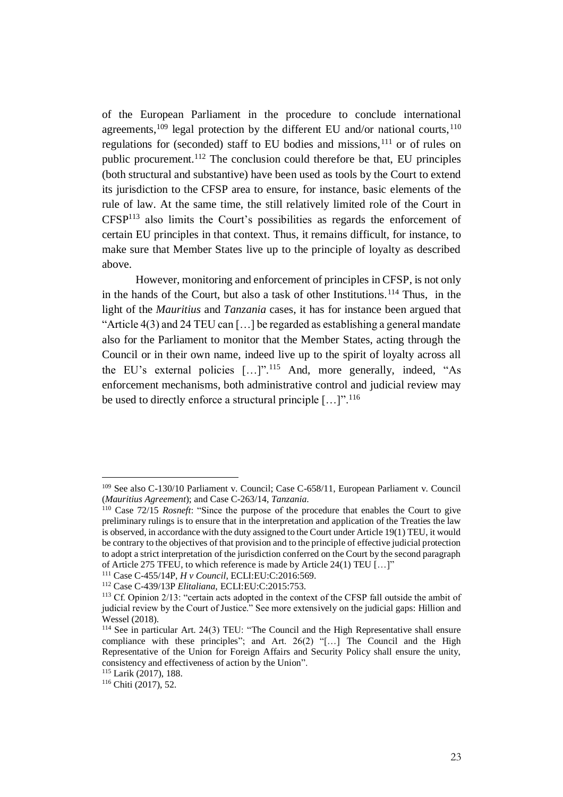of the European Parliament in the procedure to conclude international agreements,<sup>109</sup> legal protection by the different EU and/or national courts,  $110$ regulations for (seconded) staff to EU bodies and missions,<sup>111</sup> or of rules on public procurement.<sup>112</sup> The conclusion could therefore be that, EU principles (both structural and substantive) have been used as tools by the Court to extend its jurisdiction to the CFSP area to ensure, for instance, basic elements of the rule of law. At the same time, the still relatively limited role of the Court in CFSP<sup>113</sup> also limits the Court's possibilities as regards the enforcement of certain EU principles in that context. Thus, it remains difficult, for instance, to make sure that Member States live up to the principle of loyalty as described above.

However, monitoring and enforcement of principles in CFSP, is not only in the hands of the Court, but also a task of other Institutions.<sup>114</sup> Thus, in the light of the *Mauritius* and *Tanzania* cases, it has for instance been argued that "Article 4(3) and 24 TEU can […] be regarded as establishing a general mandate also for the Parliament to monitor that the Member States, acting through the Council or in their own name, indeed live up to the spirit of loyalty across all the EU's external policies […]".<sup>115</sup> And, more generally, indeed, "As enforcement mechanisms, both administrative control and judicial review may be used to directly enforce a structural principle [...]".<sup>116</sup>

<sup>109</sup> See also C-130/10 Parliament v. Council; Case C-658/11, European Parliament v. Council (*Mauritius Agreement*); and Case C-263/14, *Tanzania*.

<sup>110</sup> Case 72/15 *Rosneft*: "Since the purpose of the procedure that enables the Court to give preliminary rulings is to ensure that in the interpretation and application of the Treaties the law is observed, in accordance with the duty assigned to the Court under Article 19(1) TEU, it would be contrary to the objectives of that provision and to the principle of effective judicial protection to adopt a strict interpretation of the jurisdiction conferred on the Court by the second paragraph of Article 275 TFEU, to which reference is made by Article 24(1) TEU […]"

<sup>111</sup> Case C-455/14P, *H v Council*, ECLI:EU:C:2016:569. <sup>112</sup> Case C-439/13P *Elitaliana*, ECLI:EU:C:2015:753.

<sup>113</sup> Cf. Opinion 2/13: "certain acts adopted in the context of the CFSP fall outside the ambit of judicial review by the Court of Justice." See more extensively on the judicial gaps: Hillion and Wessel (2018).

<sup>114</sup> See in particular Art. 24(3) TEU: "The Council and the High Representative shall ensure compliance with these principles"; and Art. 26(2) "[…] The Council and the High Representative of the Union for Foreign Affairs and Security Policy shall ensure the unity, consistency and effectiveness of action by the Union".

<sup>115</sup> Larik (2017), 188.

<sup>116</sup> Chiti (2017), 52.